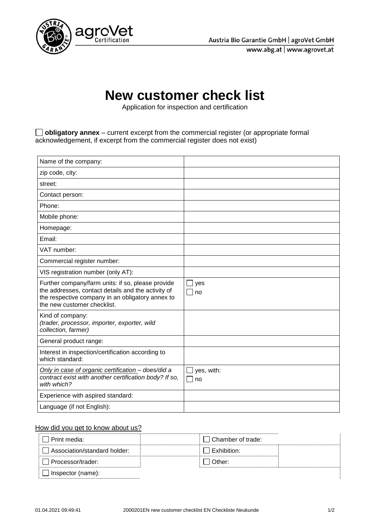

www.abg.at | www.agrovet.at



## **New customer check list**

Application for inspection and certification

**obligatory annex** – current excerpt from the commercial register (or appropriate formal acknowledgement, if excerpt from the commercial register does not exist)

| Name of the company:                                                                                                                                                                       |                                  |
|--------------------------------------------------------------------------------------------------------------------------------------------------------------------------------------------|----------------------------------|
| zip code, city:                                                                                                                                                                            |                                  |
| street:                                                                                                                                                                                    |                                  |
| Contact person:                                                                                                                                                                            |                                  |
| Phone:                                                                                                                                                                                     |                                  |
| Mobile phone:                                                                                                                                                                              |                                  |
| Homepage:                                                                                                                                                                                  |                                  |
| Email:                                                                                                                                                                                     |                                  |
| VAT number:                                                                                                                                                                                |                                  |
| Commercial register number:                                                                                                                                                                |                                  |
| VIS registration number (only AT):                                                                                                                                                         |                                  |
| Further company/farm units: if so, please provide<br>the addresses, contact details and the activity of<br>the respective company in an obligatory annex to<br>the new customer checklist. | yes<br>$\mathsf{L}$<br>$\Box$ no |
| Kind of company:<br>(trader, processor, importer, exporter, wild<br>collection, farmer)                                                                                                    |                                  |
| General product range:                                                                                                                                                                     |                                  |
| Interest in inspection/certification according to<br>which standard:                                                                                                                       |                                  |
| Only in case of organic certification - does/did a<br>contract exist with another certification body? If so,<br>with which?                                                                | yes, with:<br>no                 |
| Experience with aspired standard:                                                                                                                                                          |                                  |
| Language (if not English):                                                                                                                                                                 |                                  |

## How did you get to know about us?

| Print media:                 | $\Box$ Chamber of trade:             |  |
|------------------------------|--------------------------------------|--|
| Association/standard holder: | $\overline{\phantom{a}}$ Exhibition: |  |
| Processor/trader:            | ⊥Other:                              |  |
| Inspector (name):            |                                      |  |